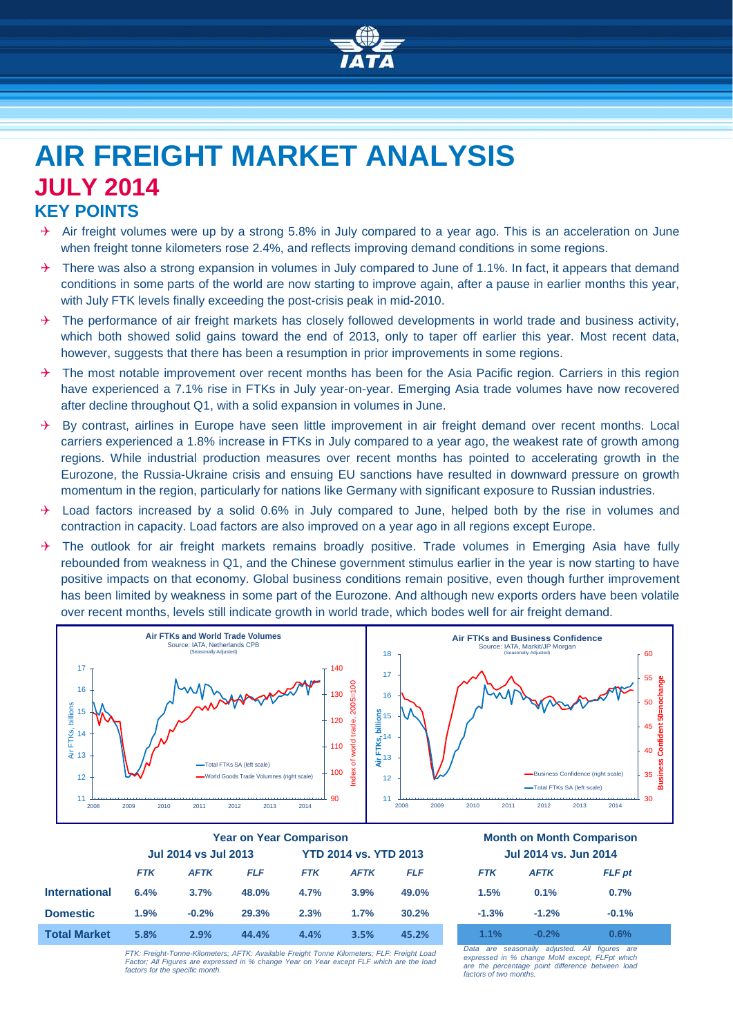

## **AIR FREIGHT MARKET ANALYSIS JULY 2014 KEY POINTS**

- Air freight volumes were up by a strong 5.8% in July compared to a year ago. This is an acceleration on June when freight tonne kilometers rose 2.4%, and reflects improving demand conditions in some regions.
- $\rightarrow$  There was also a strong expansion in volumes in July compared to June of 1.1%. In fact, it appears that demand conditions in some parts of the world are now starting to improve again, after a pause in earlier months this year, with July FTK levels finally exceeding the post-crisis peak in mid-2010.
- $\rightarrow$  The performance of air freight markets has closely followed developments in world trade and business activity, which both showed solid gains toward the end of 2013, only to taper off earlier this year. Most recent data, however, suggests that there has been a resumption in prior improvements in some regions.
- $\rightarrow$  The most notable improvement over recent months has been for the Asia Pacific region. Carriers in this region have experienced a 7.1% rise in FTKs in July year-on-year. Emerging Asia trade volumes have now recovered after decline throughout Q1, with a solid expansion in volumes in June.
- $\rightarrow$  By contrast, airlines in Europe have seen little improvement in air freight demand over recent months. Local carriers experienced a 1.8% increase in FTKs in July compared to a year ago, the weakest rate of growth among regions. While industrial production measures over recent months has pointed to accelerating growth in the Eurozone, the Russia-Ukraine crisis and ensuing EU sanctions have resulted in downward pressure on growth momentum in the region, particularly for nations like Germany with significant exposure to Russian industries.
- Load factors increased by a solid 0.6% in July compared to June, helped both by the rise in volumes and contraction in capacity. Load factors are also improved on a year ago in all regions except Europe.
- $\rightarrow$  The outlook for air freight markets remains broadly positive. Trade volumes in Emerging Asia have fully rebounded from weakness in Q1, and the Chinese government stimulus earlier in the year is now starting to have positive impacts on that economy. Global business conditions remain positive, even though further improvement has been limited by weakness in some part of the Eurozone. And although new exports orders have been volatile over recent months, levels still indicate growth in world trade, which bodes well for air freight demand.



|                      | <b>Year on Year Comparison</b> |             |       |                              |             | <b>Month on Month Comparison</b> |                              |             |               |
|----------------------|--------------------------------|-------------|-------|------------------------------|-------------|----------------------------------|------------------------------|-------------|---------------|
|                      | <b>Jul 2014 vs Jul 2013</b>    |             |       | <b>YTD 2014 vs. YTD 2013</b> |             |                                  | <b>Jul 2014 vs. Jun 2014</b> |             |               |
|                      | <b>FTK</b>                     | <b>AFTK</b> | FLF   | <b>FTK</b>                   | <b>AFTK</b> | <b>FLF</b>                       | <b>FTK</b>                   | <b>AFTK</b> | <b>FLF</b> pt |
| <b>International</b> | 6.4%                           | 3.7%        | 48.0% | 4.7%                         | 3.9%        | 49.0%                            | 1.5%                         | 0.1%        | 0.7%          |
| <b>Domestic</b>      | 1.9%                           | $-0.2%$     | 29.3% | 2.3%                         | 1.7%        | 30.2%                            | $-1.3%$                      | $-1.2%$     | $-0.1%$       |
| <b>Total Market</b>  | 5.8%                           | 2.9%        | 44.4% | 4.4%                         | 3.5%        | 45.2%                            | 1.1%                         | $-0.2%$     | $0.6\%$       |
|                      |                                |             |       |                              |             |                                  |                              |             |               |

*FTK: Freight-Tonne-Kilometers; AFTK: Available Freight Tonne Kilometers; FLF: Freight Load Factor; All Figures are expressed in % change Year on Year except FLF which are the load factors for the specific month.* *Data are seasonally adjusted. All figures are expressed in % change MoM except, FLFpt which are the percentage point difference between load factors of two months.*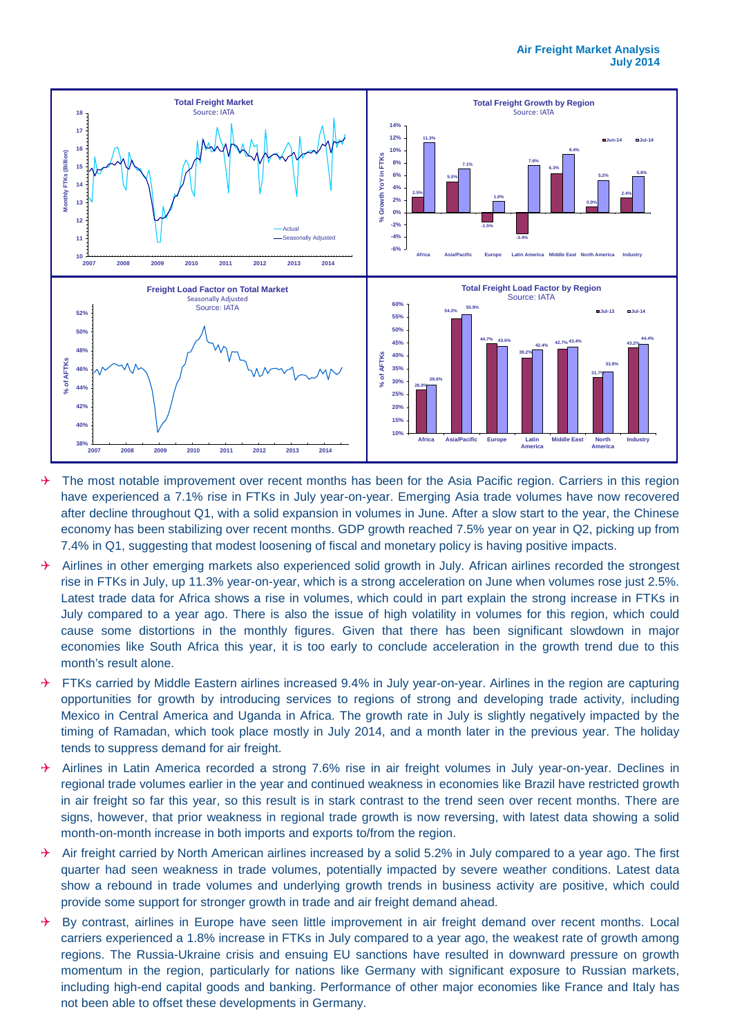

- $\rightarrow$  The most notable improvement over recent months has been for the Asia Pacific region. Carriers in this region have experienced a 7.1% rise in FTKs in July year-on-year. Emerging Asia trade volumes have now recovered after decline throughout Q1, with a solid expansion in volumes in June. After a slow start to the year, the Chinese economy has been stabilizing over recent months. GDP growth reached 7.5% year on year in Q2, picking up from 7.4% in Q1, suggesting that modest loosening of fiscal and monetary policy is having positive impacts.
- Airlines in other emerging markets also experienced solid growth in July. African airlines recorded the strongest rise in FTKs in July, up 11.3% year-on-year, which is a strong acceleration on June when volumes rose just 2.5%. Latest trade data for Africa shows a rise in volumes, which could in part explain the strong increase in FTKs in July compared to a year ago. There is also the issue of high volatility in volumes for this region, which could cause some distortions in the monthly figures. Given that there has been significant slowdown in major economies like South Africa this year, it is too early to conclude acceleration in the growth trend due to this month's result alone.
- $\rightarrow$  FTKs carried by Middle Eastern airlines increased 9.4% in July year-on-year. Airlines in the region are capturing opportunities for growth by introducing services to regions of strong and developing trade activity, including Mexico in Central America and Uganda in Africa. The growth rate in July is slightly negatively impacted by the timing of Ramadan, which took place mostly in July 2014, and a month later in the previous year. The holiday tends to suppress demand for air freight.
- $\rightarrow$  Airlines in Latin America recorded a strong 7.6% rise in air freight volumes in July year-on-year. Declines in regional trade volumes earlier in the year and continued weakness in economies like Brazil have restricted growth in air freight so far this year, so this result is in stark contrast to the trend seen over recent months. There are signs, however, that prior weakness in regional trade growth is now reversing, with latest data showing a solid month-on-month increase in both imports and exports to/from the region.
- Air freight carried by North American airlines increased by a solid 5.2% in July compared to a year ago. The first quarter had seen weakness in trade volumes, potentially impacted by severe weather conditions. Latest data show a rebound in trade volumes and underlying growth trends in business activity are positive, which could provide some support for stronger growth in trade and air freight demand ahead.
- By contrast, airlines in Europe have seen little improvement in air freight demand over recent months. Local carriers experienced a 1.8% increase in FTKs in July compared to a year ago, the weakest rate of growth among regions. The Russia-Ukraine crisis and ensuing EU sanctions have resulted in downward pressure on growth momentum in the region, particularly for nations like Germany with significant exposure to Russian markets, including high-end capital goods and banking. Performance of other major economies like France and Italy has not been able to offset these developments in Germany.